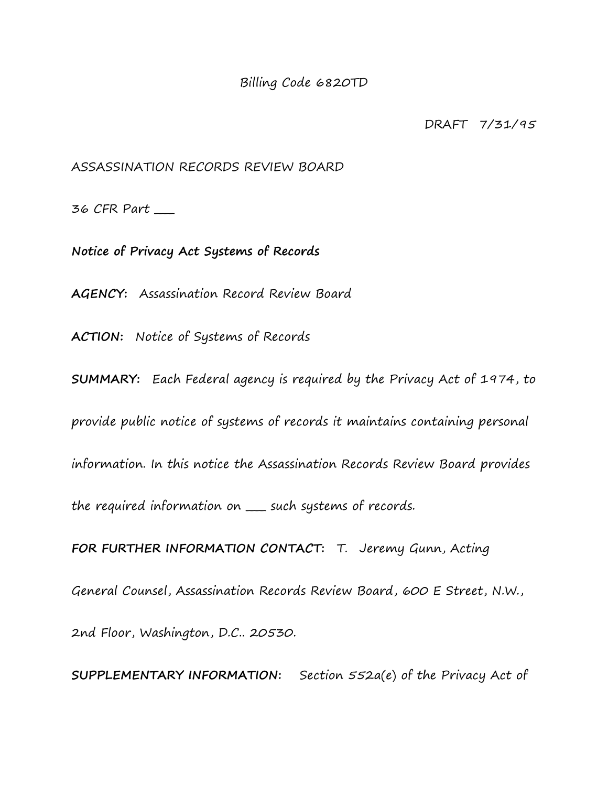Billing Code 6820TD

DRAFT 7/31/95

ASSASSINATION RECORDS REVIEW BOARD

36 CFR Part \_\_\_\_

**Notice of Privacy Act Systems of Records**

**AGENCY:** Assassination Record Review Board

**ACTION:** Notice of Systems of Records

**SUMMARY:** Each Federal agency is required by the Privacy Act of 1974, to provide public notice of systems of records it maintains containing personal information. In this notice the Assassination Records Review Board provides the required information on \_\_\_\_ such systems of records. **FOR FURTHER INFORMATION CONTACT:** T. Jeremy Gunn, Acting

General Counsel, Assassination Records Review Board, 600 E Street, N.W.,

2nd Floor, Washington, D.C.. 20530.

**SUPPLEMENTARY INFORMATION:** Section 552a(e) of the Privacy Act of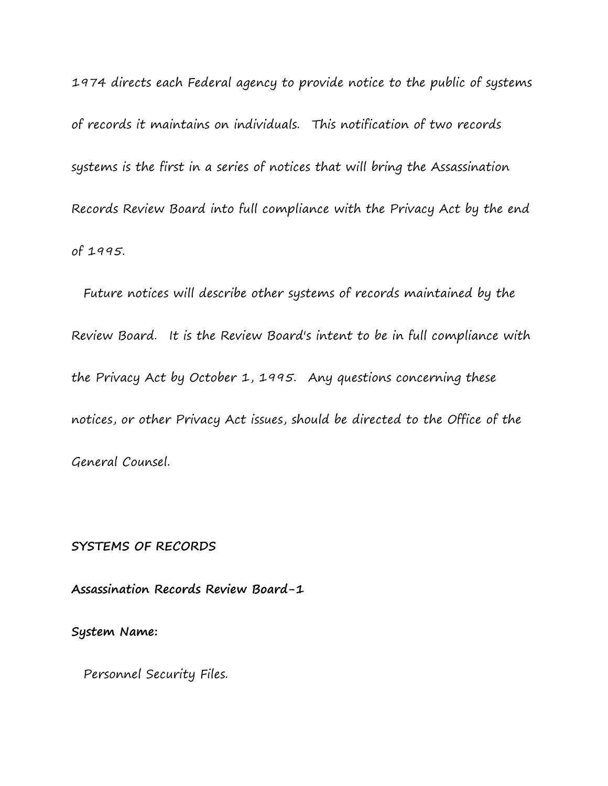1974 directs each Federal agency to provide notice to the public of systems of records it maintains on individuals. This notification of two records systems is the first in a series of notices that will bring the Assassination Records Review Board into full compliance with the Privacy Act by the end of 1995.

 Future notices will describe other systems of records maintained by the Review Board. It is the Review Board's intent to be in full compliance with the Privacy Act by October 1, 1995. Any questions concerning these notices, or other Privacy Act issues, should be directed to the Office of the General Counsel.

### **SYSTEMS OF RECORDS**

**Assassination Records Review Board-1**

**System Name:**

Personnel Security Files.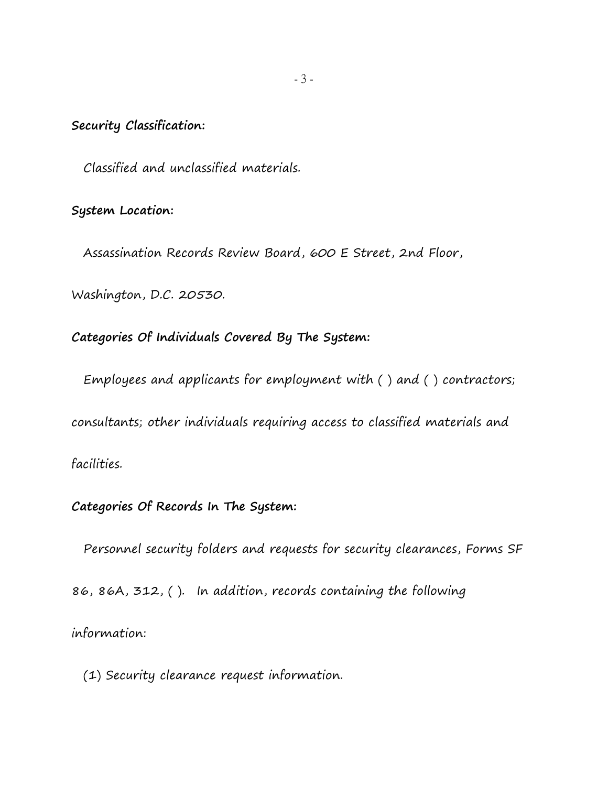# **Security Classification:**

Classified and unclassified materials.

# **System Location:**

Assassination Records Review Board, 600 E Street, 2nd Floor,

Washington, D.C. 20530.

# **Categories Of Individuals Covered By The System:**

Employees and applicants for employment with ( ) and ( ) contractors;

consultants; other individuals requiring access to classified materials and

# facilities.

# **Categories Of Records In The System:**

Personnel security folders and requests for security clearances, Forms SF

86, 86A, 312, ( ). In addition, records containing the following

information:

(1) Security clearance request information.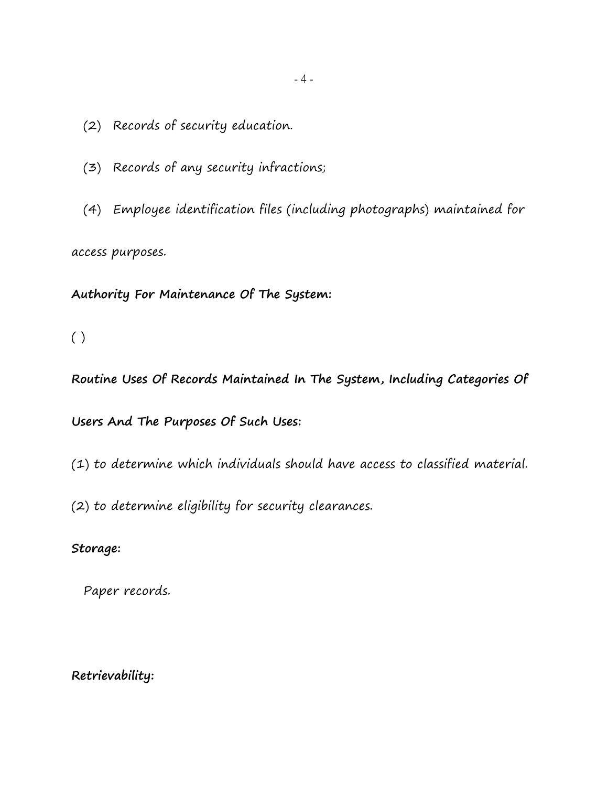- (2) Records of security education.
- (3) Records of any security infractions;
- (4) Employee identification files (including photographs) maintained for access purposes.

**Authority For Maintenance Of The System:**

( )

**Routine Uses Of Records Maintained In The System, Including Categories Of** 

**Users And The Purposes Of Such Uses:**

(1) to determine which individuals should have access to classified material.

(2) to determine eligibility for security clearances.

**Storage:**

Paper records.

**Retrievability:**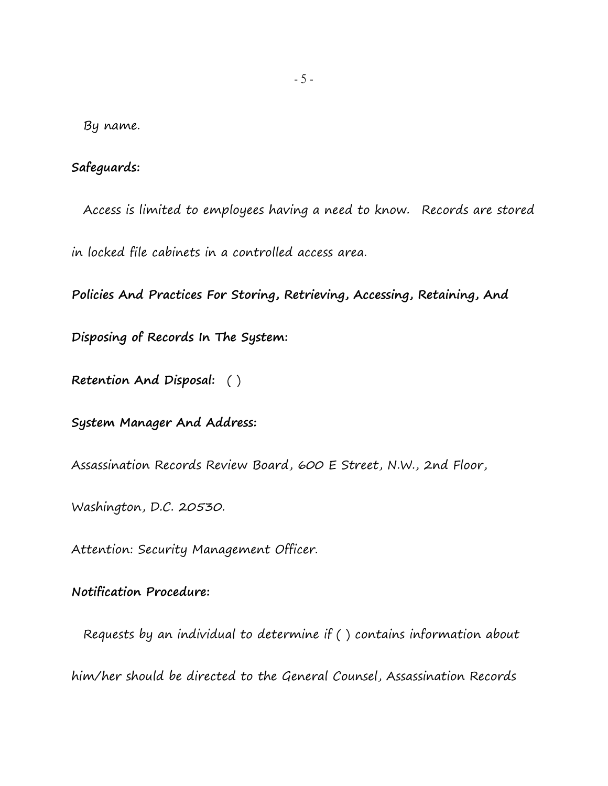By name.

# **Safeguards:**

Access is limited to employees having a need to know. Records are stored in locked file cabinets in a controlled access area.

**Policies And Practices For Storing, Retrieving, Accessing, Retaining, And** 

**Disposing of Records In The System:**

**Retention And Disposal:** ( )

**System Manager And Address:**

Assassination Records Review Board, 600 E Street, N.W., 2nd Floor,

Washington, D.C. 20530.

Attention: Security Management Officer.

**Notification Procedure:**

 Requests by an individual to determine if ( ) contains information about him/her should be directed to the General Counsel, Assassination Records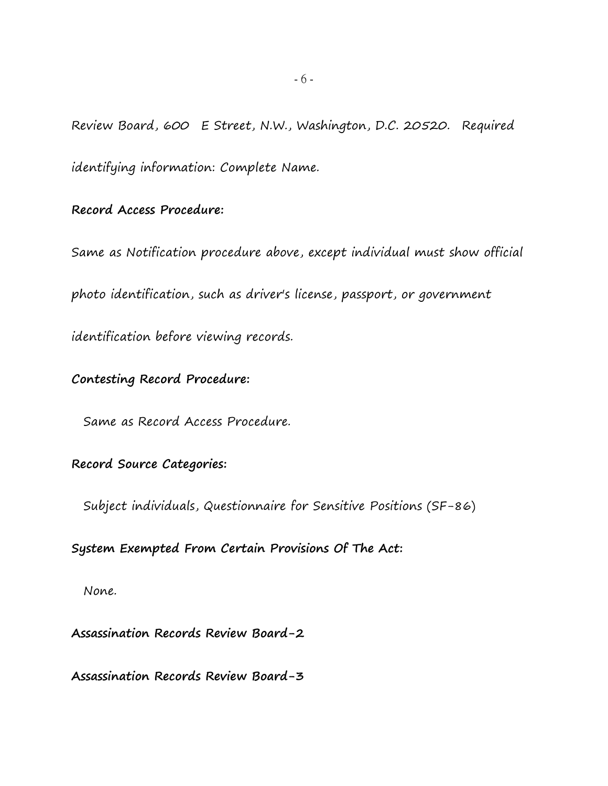Review Board, 600 E Street, N.W., Washington, D.C. 20520. Required identifying information: Complete Name.

#### **Record Access Procedure:**

Same as Notification procedure above, except individual must show official photo identification, such as driver's license, passport, or government identification before viewing records.

# **Contesting Record Procedure:**

Same as Record Access Procedure.

# **Record Source Categories:**

Subject individuals, Questionnaire for Sensitive Positions (SF-86)

# **System Exempted From Certain Provisions Of The Act:**

None.

**Assassination Records Review Board-2**

**Assassination Records Review Board-3**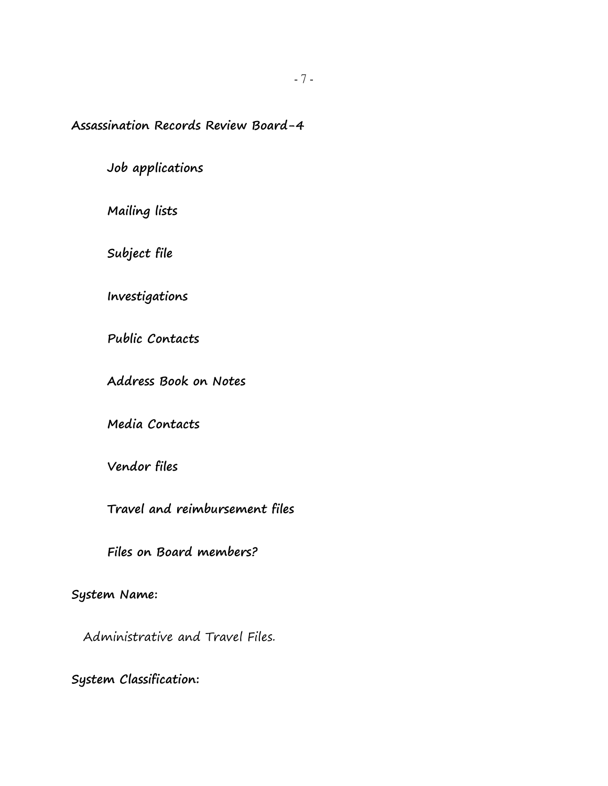**Assassination Records Review Board-4**

**Job applications**

**Mailing lists**

**Subject file**

**Investigations**

**Public Contacts**

**Address Book on Notes**

**Media Contacts**

**Vendor files**

**Travel and reimbursement files**

**Files on Board members?**

**System Name:**

Administrative and Travel Files.

**System Classification:**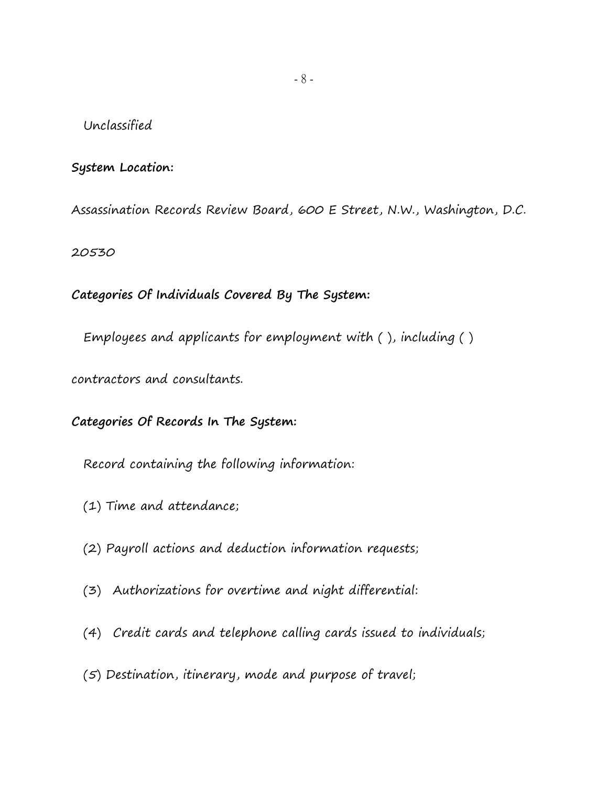### Unclassified

# **System Location:**

Assassination Records Review Board, 600 E Street, N.W., Washington, D.C.

20530

**Categories Of Individuals Covered By The System:**

Employees and applicants for employment with ( ), including ( )

contractors and consultants.

# **Categories Of Records In The System:**

Record containing the following information:

- (1) Time and attendance;
- (2) Payroll actions and deduction information requests;
- (3) Authorizations for overtime and night differential:
- (4) Credit cards and telephone calling cards issued to individuals;
- (5) Destination, itinerary, mode and purpose of travel;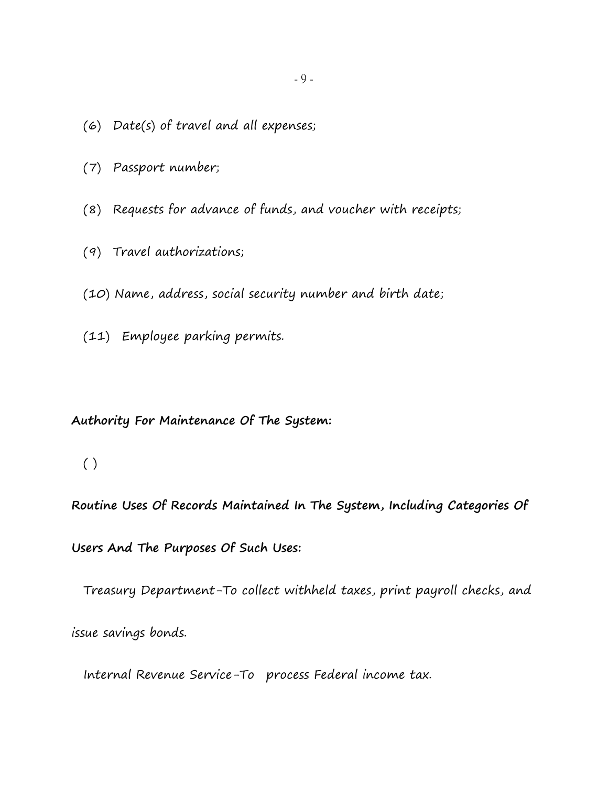- (6) Date(s) of travel and all expenses;
- (7) Passport number;
- (8) Requests for advance of funds, and voucher with receipts;
- (9) Travel authorizations;
- (10) Name, address, social security number and birth date;
- (11) Employee parking permits.

#### **Authority For Maintenance Of The System:**

# $( )$

**Routine Uses Of Records Maintained In The System, Including Categories Of** 

**Users And The Purposes Of Such Uses:**

Treasury Department-To collect withheld taxes, print payroll checks, and

issue savings bonds.

Internal Revenue Service-To process Federal income tax.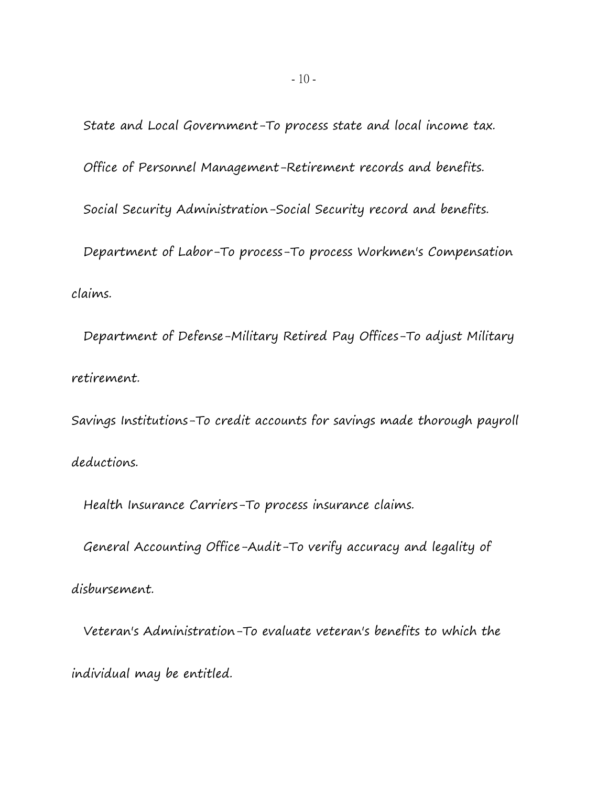State and Local Government-To process state and local income tax. Office of Personnel Management-Retirement records and benefits. Social Security Administration-Social Security record and benefits. Department of Labor-To process-To process Workmen's Compensation claims.

 Department of Defense-Military Retired Pay Offices-To adjust Military retirement.

Savings Institutions-To credit accounts for savings made thorough payroll deductions.

Health Insurance Carriers-To process insurance claims.

General Accounting Office-Audit-To verify accuracy and legality of

disbursement.

 Veteran's Administration-To evaluate veteran's benefits to which the individual may be entitled.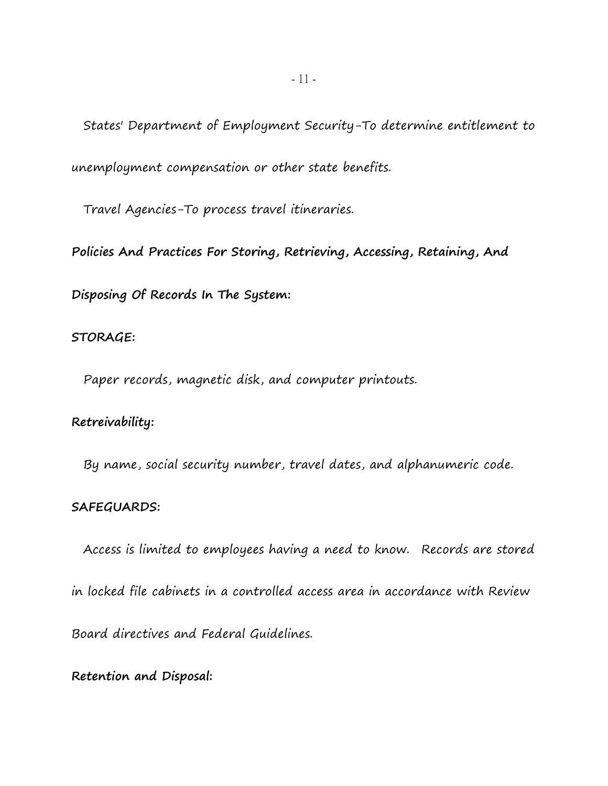States' Department of Employment Security-To determine entitlement to unemployment compensation or other state benefits.

Travel Agencies-To process travel itineraries.

**Policies And Practices For Storing, Retrieving, Accessing, Retaining, And** 

**Disposing Of Records In The System:**

#### **STORAGE:**

Paper records, magnetic disk, and computer printouts.

## **Retreivability:**

By name, social security number, travel dates, and alphanumeric code.

#### **SAFEGUARDS:**

 Access is limited to employees having a need to know. Records are stored in locked file cabinets in a controlled access area in accordance with Review Board directives and Federal Guidelines.

**Retention and Disposal:**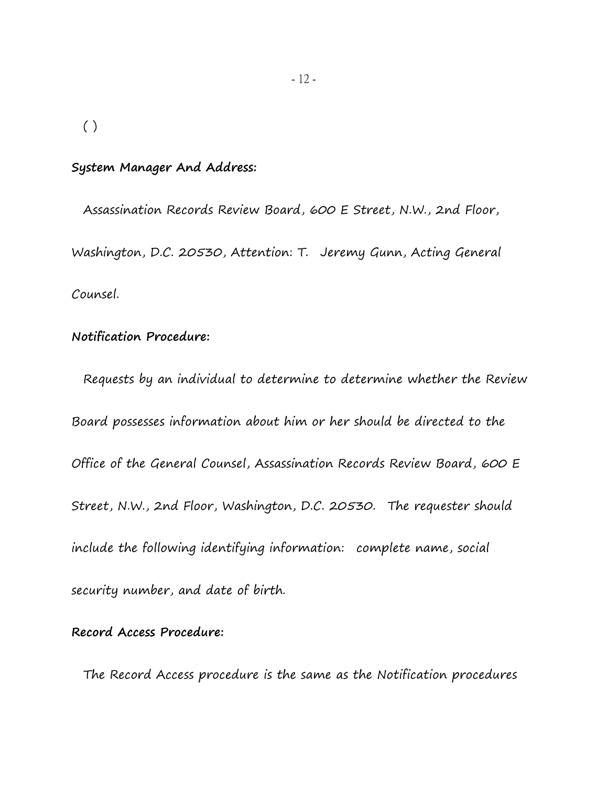( )

#### **System Manager And Address:**

 Assassination Records Review Board, 600 E Street, N.W., 2nd Floor, Washington, D.C. 20530, Attention: T. Jeremy Gunn, Acting General Counsel.

### **Notification Procedure:**

 Requests by an individual to determine to determine whether the Review Board possesses information about him or her should be directed to the Office of the General Counsel, Assassination Records Review Board, 600 E Street, N.W., 2nd Floor, Washington, D.C. 20530. The requester should include the following identifying information: complete name, social security number, and date of birth.

### **Record Access Procedure:**

The Record Access procedure is the same as the Notification procedures